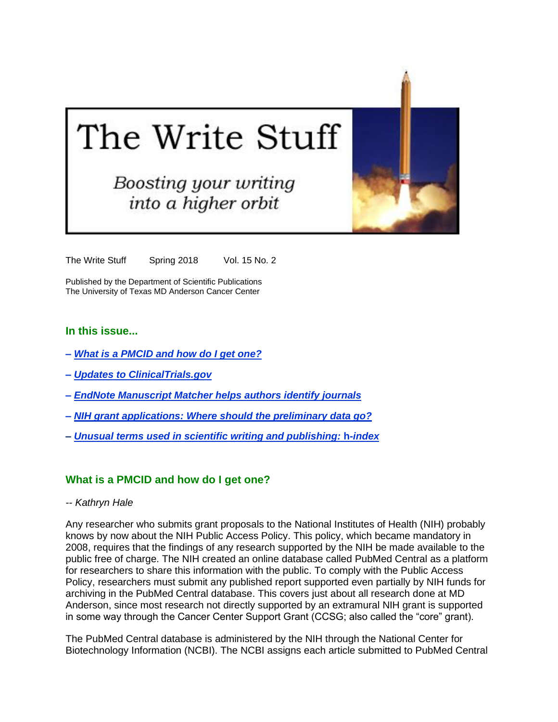# The Write Stuff

**Boosting your writing** into a higher orbit

The Write Stuff Spring 2018 Vol. 15 No. 2

Published by the Department of Scientific Publications The University of Texas MD Anderson Cancer Center

## **In this issue...**

- *– [What is a PMCID and how do I get one?](#page-0-0)*
- *– [Updates to ClinicalTrials.gov](#page-2-0)*
- *– [EndNote Manuscript Matcher helps authors identify journals](#page-3-0)*
- *– [NIH grant applications: Where should the preliminary data go?](#page-4-0)*
- *– Unusual [terms used in scientific writing and publishing:](#page-5-0)* **h-***index*

#### <span id="page-0-0"></span>**What is a PMCID and how do I get one?**

*-- Kathryn Hale*

Any researcher who submits grant proposals to the National Institutes of Health (NIH) probably knows by now about the NIH Public Access Policy. This policy, which became mandatory in 2008, requires that the findings of any research supported by the NIH be made available to the public free of charge. The NIH created an online database called PubMed Central as a platform for researchers to share this information with the public. To comply with the Public Access Policy, researchers must submit any published report supported even partially by NIH funds for archiving in the PubMed Central database. This covers just about all research done at MD Anderson, since most research not directly supported by an extramural NIH grant is supported in some way through the Cancer Center Support Grant (CCSG; also called the "core" grant).

The PubMed Central database is administered by the NIH through the National Center for Biotechnology Information (NCBI). The NCBI assigns each article submitted to PubMed Central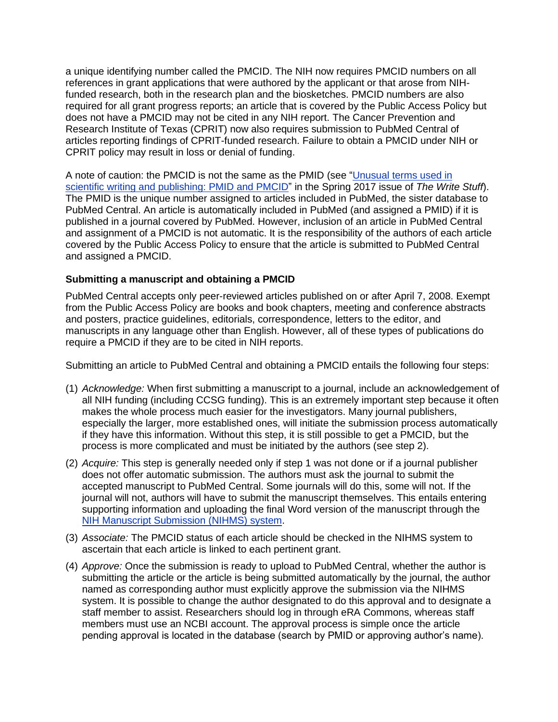a unique identifying number called the PMCID. The NIH now requires PMCID numbers on all references in grant applications that were authored by the applicant or that arose from NIHfunded research, both in the research plan and the biosketches. PMCID numbers are also required for all grant progress reports; an article that is covered by the Public Access Policy but does not have a PMCID may not be cited in any NIH report. The Cancer Prevention and Research Institute of Texas (CPRIT) now also requires submission to PubMed Central of articles reporting findings of CPRIT-funded research. Failure to obtain a PMCID under NIH or CPRIT policy may result in loss or denial of funding.

A note of caution: the PMCID is not the same as the PMID (see ["Unusual terms used in](http://inside.mdanderson.org/departments/scipub/2017---spring-issue-vol-14-no-2-revised.pdf)  [scientific writing and publishing: PMID and PMCID"](http://inside.mdanderson.org/departments/scipub/2017---spring-issue-vol-14-no-2-revised.pdf) in the Spring 2017 issue of *The Write Stuff*). The PMID is the unique number assigned to articles included in PubMed, the sister database to PubMed Central. An article is automatically included in PubMed (and assigned a PMID) if it is published in a journal covered by PubMed. However, inclusion of an article in PubMed Central and assignment of a PMCID is not automatic. It is the responsibility of the authors of each article covered by the Public Access Policy to ensure that the article is submitted to PubMed Central and assigned a PMCID.

# **Submitting a manuscript and obtaining a PMCID**

PubMed Central accepts only peer-reviewed articles published on or after April 7, 2008. Exempt from the Public Access Policy are books and book chapters, meeting and conference abstracts and posters, practice guidelines, editorials, correspondence, letters to the editor, and manuscripts in any language other than English. However, all of these types of publications do require a PMCID if they are to be cited in NIH reports.

Submitting an article to PubMed Central and obtaining a PMCID entails the following four steps:

- (1) *Acknowledge:* When first submitting a manuscript to a journal, include an acknowledgement of all NIH funding (including CCSG funding). This is an extremely important step because it often makes the whole process much easier for the investigators. Many journal publishers, especially the larger, more established ones, will initiate the submission process automatically if they have this information. Without this step, it is still possible to get a PMCID, but the process is more complicated and must be initiated by the authors (see step 2).
- (2) *Acquire:* This step is generally needed only if step 1 was not done or if a journal publisher does not offer automatic submission. The authors must ask the journal to submit the accepted manuscript to PubMed Central. Some journals will do this, some will not. If the journal will not, authors will have to submit the manuscript themselves. This entails entering supporting information and uploading the final Word version of the manuscript through the [NIH Manuscript Submission \(NIHMS\) system.](https://www.nihms.nih.gov/db/sub.cgi)
- (3) *Associate:* The PMCID status of each article should be checked in the NIHMS system to ascertain that each article is linked to each pertinent grant.
- (4) *Approve:* Once the submission is ready to upload to PubMed Central, whether the author is submitting the article or the article is being submitted automatically by the journal, the author named as corresponding author must explicitly approve the submission via the NIHMS system. It is possible to change the author designated to do this approval and to designate a staff member to assist. Researchers should log in through eRA Commons, whereas staff members must use an NCBI account. The approval process is simple once the article pending approval is located in the database (search by PMID or approving author's name).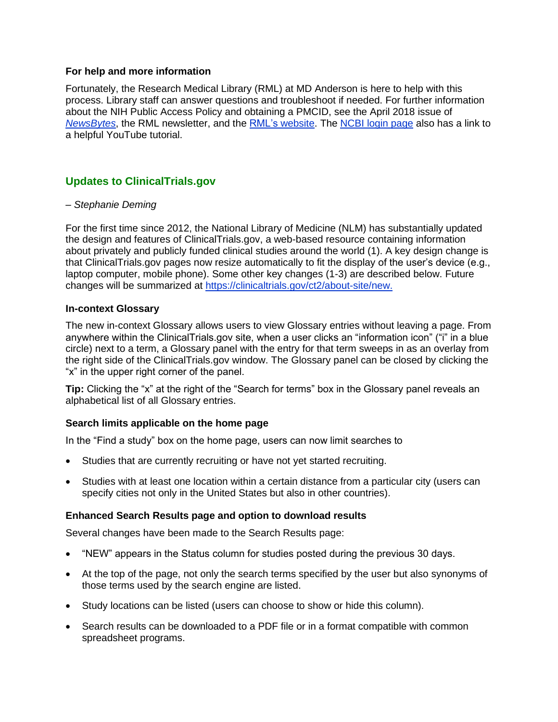## **For help and more information**

Fortunately, the Research Medical Library (RML) at MD Anderson is here to help with this process. Library staff can answer questions and troubleshoot if needed. For further information about the NIH Public Access Policy and obtaining a PMCID, see the April 2018 issue of *[NewsBytes](https://us10.campaign-archive.com/?u=220566736c3f2dbe3e36174e8&id=722afe82b3)*, the RML newsletter, and the [RML's website.](https://mdanderson.libguides.com/nihaccesspolicy/foursteps) The [NCBI login page](https://www.ncbi.nlm.nih.gov/account/) also has a link to a helpful YouTube tutorial.

# <span id="page-2-0"></span>**Updates to ClinicalTrials.gov**

## *– Stephanie Deming*

For the first time since 2012, the National Library of Medicine (NLM) has substantially updated the design and features of ClinicalTrials.gov, a web-based resource containing information about privately and publicly funded clinical studies around the world (1). A key design change is that ClinicalTrials.gov pages now resize automatically to fit the display of the user's device (e.g., laptop computer, mobile phone). Some other key changes (1-3) are described below. Future changes will be summarized at [https://clinicaltrials.gov/ct2/about-site/new.](https://clinicaltrials.gov/ct2/about-site/new)

## **In-context Glossary**

The new in-context Glossary allows users to view Glossary entries without leaving a page. From anywhere within the ClinicalTrials.gov site, when a user clicks an "information icon" ("i" in a blue circle) next to a term, a Glossary panel with the entry for that term sweeps in as an overlay from the right side of the ClinicalTrials.gov window. The Glossary panel can be closed by clicking the "x" in the upper right corner of the panel.

**Tip:** Clicking the "x" at the right of the "Search for terms" box in the Glossary panel reveals an alphabetical list of all Glossary entries.

# **Search limits applicable on the home page**

In the "Find a study" box on the home page, users can now limit searches to

- Studies that are currently recruiting or have not yet started recruiting.
- Studies with at least one location within a certain distance from a particular city (users can specify cities not only in the United States but also in other countries).

## **Enhanced Search Results page and option to download results**

Several changes have been made to the Search Results page:

- "NEW" appears in the Status column for studies posted during the previous 30 days.
- At the top of the page, not only the search terms specified by the user but also synonyms of those terms used by the search engine are listed.
- Study locations can be listed (users can choose to show or hide this column).
- Search results can be downloaded to a PDF file or in a format compatible with common spreadsheet programs.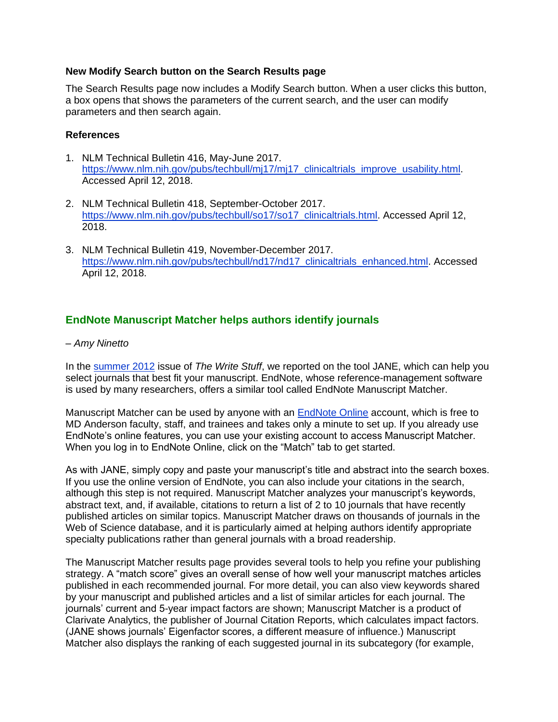## **New Modify Search button on the Search Results page**

The Search Results page now includes a Modify Search button. When a user clicks this button, a box opens that shows the parameters of the current search, and the user can modify parameters and then search again.

## **References**

- 1. NLM Technical Bulletin 416, May-June 2017. [https://www.nlm.nih.gov/pubs/techbull/mj17/mj17\\_clinicaltrials\\_improve\\_usability.html.](https://www.nlm.nih.gov/pubs/techbull/mj17/mj17_clinicaltrials_improve_usability.html) Accessed April 12, 2018.
- 2. NLM Technical Bulletin 418, September-October 2017. [https://www.nlm.nih.gov/pubs/techbull/so17/so17\\_clinicaltrials.html.](https://www.nlm.nih.gov/pubs/techbull/so17/so17_clinicaltrials.html) Accessed April 12, 2018.
- 3. NLM Technical Bulletin 419, November-December 2017. [https://www.nlm.nih.gov/pubs/techbull/nd17/nd17\\_clinicaltrials\\_enhanced.html.](https://www.nlm.nih.gov/pubs/techbull/nd17/nd17_clinicaltrials_enhanced.html) Accessed April 12, 2018.

# <span id="page-3-0"></span>**EndNote Manuscript Matcher helps authors identify journals**

## *– Amy Ninetto*

In the [summer 2012](http://inside.mdanderson.org/departments/scipub/summer-2012.html) issue of *The Write Stuff*, we reported on the tool JANE, which can help you select journals that best fit your manuscript. EndNote, whose reference-management software is used by many researchers, offers a similar tool called EndNote Manuscript Matcher.

Manuscript Matcher can be used by anyone with an [EndNote Online](http://myendnoteweb.com/) account, which is free to MD Anderson faculty, staff, and trainees and takes only a minute to set up. If you already use EndNote's online features, you can use your existing account to access Manuscript Matcher. When you log in to EndNote Online, click on the "Match" tab to get started.

As with JANE, simply copy and paste your manuscript's title and abstract into the search boxes. If you use the online version of EndNote, you can also include your citations in the search, although this step is not required. Manuscript Matcher analyzes your manuscript's keywords, abstract text, and, if available, citations to return a list of 2 to 10 journals that have recently published articles on similar topics. Manuscript Matcher draws on thousands of journals in the Web of Science database, and it is particularly aimed at helping authors identify appropriate specialty publications rather than general journals with a broad readership.

The Manuscript Matcher results page provides several tools to help you refine your publishing strategy. A "match score" gives an overall sense of how well your manuscript matches articles published in each recommended journal. For more detail, you can also view keywords shared by your manuscript and published articles and a list of similar articles for each journal. The journals' current and 5-year impact factors are shown; Manuscript Matcher is a product of Clarivate Analytics, the publisher of Journal Citation Reports, which calculates impact factors. (JANE shows journals' Eigenfactor scores, a different measure of influence.) Manuscript Matcher also displays the ranking of each suggested journal in its subcategory (for example,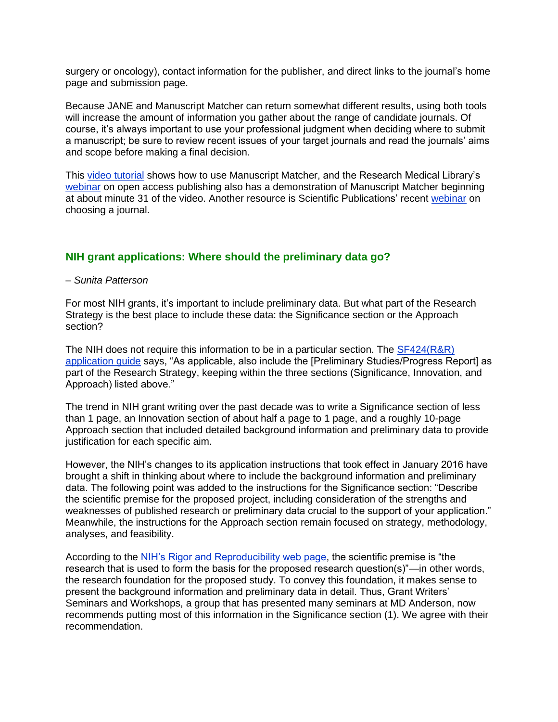surgery or oncology), contact information for the publisher, and direct links to the journal's home page and submission page.

Because JANE and Manuscript Matcher can return somewhat different results, using both tools will increase the amount of information you gather about the range of candidate journals. Of course, it's always important to use your professional judgment when deciding where to submit a manuscript; be sure to review recent issues of your target journals and read the journals' aims and scope before making a final decision.

This [video tutorial](https://youtu.be/rt0rT0wemrI) shows how to use Manuscript Matcher, and the Research Medical Library's [webinar](http://mdandersonlib.adobeconnect.com/p74p6y4l7a6/) on open access publishing also has a demonstration of Manuscript Matcher beginning at about minute 31 of the video. Another resource is Scientific Publications' recent [webinar](http://mdandersonlib.adobeconnect.com/choosing_journal/) on choosing a journal.

# <span id="page-4-0"></span>**NIH grant applications: Where should the preliminary data go?**

## *– Sunita Patterson*

For most NIH grants, it's important to include preliminary data. But what part of the Research Strategy is the best place to include these data: the Significance section or the Approach section?

The NIH does not require this information to be in a particular section. The [SF424\(R&R\)](https://grants.nih.gov/grants/how-to-apply-application-guide.html)  [application guide](https://grants.nih.gov/grants/how-to-apply-application-guide.html) says, "As applicable, also include the [Preliminary Studies/Progress Report] as part of the Research Strategy, keeping within the three sections (Significance, Innovation, and Approach) listed above."

The trend in NIH grant writing over the past decade was to write a Significance section of less than 1 page, an Innovation section of about half a page to 1 page, and a roughly 10-page Approach section that included detailed background information and preliminary data to provide justification for each specific aim.

However, the NIH's changes to its application instructions that took effect in January 2016 have brought a shift in thinking about where to include the background information and preliminary data. The following point was added to the instructions for the Significance section: "Describe the scientific premise for the proposed project, including consideration of the strengths and weaknesses of published research or preliminary data crucial to the support of your application." Meanwhile, the instructions for the Approach section remain focused on strategy, methodology, analyses, and feasibility.

According to the [NIH's Rigor and Reproducibility web page,](https://grants.nih.gov/reproducibility/index.htm) the scientific premise is "the research that is used to form the basis for the proposed research question(s)"—in other words, the research foundation for the proposed study. To convey this foundation, it makes sense to present the background information and preliminary data in detail. Thus, Grant Writers' Seminars and Workshops, a group that has presented many seminars at MD Anderson, now recommends putting most of this information in the Significance section (1). We agree with their recommendation.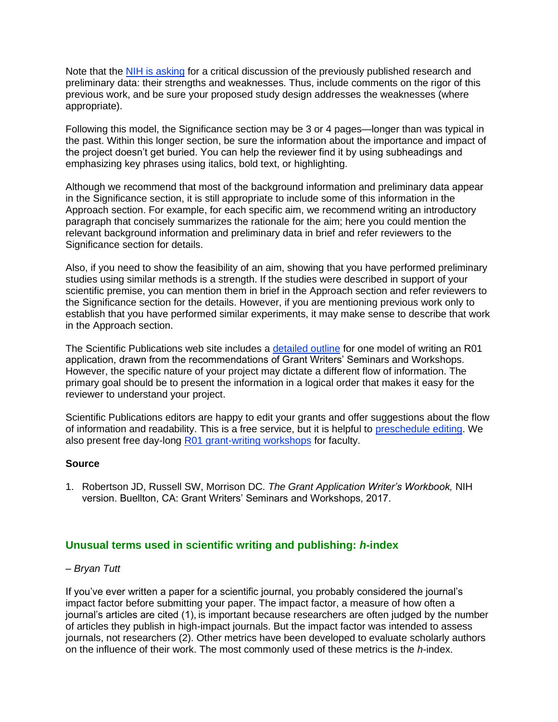Note that the [NIH is asking](https://nexus.od.nih.gov/all/2016/01/28/scientific-premise-in-nih-grant-applications/) for a critical discussion of the previously published research and preliminary data: their strengths and weaknesses. Thus, include comments on the rigor of this previous work, and be sure your proposed study design addresses the weaknesses (where appropriate).

Following this model, the Significance section may be 3 or 4 pages—longer than was typical in the past. Within this longer section, be sure the information about the importance and impact of the project doesn't get buried. You can help the reviewer find it by using subheadings and emphasizing key phrases using italics, bold text, or highlighting.

Although we recommend that most of the background information and preliminary data appear in the Significance section, it is still appropriate to include some of this information in the Approach section. For example, for each specific aim, we recommend writing an introductory paragraph that concisely summarizes the rationale for the aim; here you could mention the relevant background information and preliminary data in brief and refer reviewers to the Significance section for details.

Also, if you need to show the feasibility of an aim, showing that you have performed preliminary studies using similar methods is a strength. If the studies were described in support of your scientific premise, you can mention them in brief in the Approach section and refer reviewers to the Significance section for the details. However, if you are mentioning previous work only to establish that you have performed similar experiments, it may make sense to describe that work in the Approach section.

The Scientific Publications web site includes a [detailed outline](http://inside.mdanderson.org/departments/scipub/writing-r01-grant-proposals.html) for one model of writing an R01 application, drawn from the recommendations of Grant Writers' Seminars and Workshops. However, the specific nature of your project may dictate a different flow of information. The primary goal should be to present the information in a logical order that makes it easy for the reviewer to understand your project.

Scientific Publications editors are happy to edit your grants and offer suggestions about the flow of information and readability. This is a free service, but it is helpful to [preschedule editing.](http://inside.mdanderson.org/departments/scipub/our-editing-services.html) We also present free day-long [R01 grant-writing workshops](http://inside.mdanderson.org/departments/scipub/educational-programs.html) for faculty.

## **Source**

1. Robertson JD, Russell SW, Morrison DC. *The Grant Application Writer's Workbook,* NIH version. Buellton, CA: Grant Writers' Seminars and Workshops, 2017.

# <span id="page-5-0"></span>**Unusual terms used in scientific writing and publishing:** *h***-index**

# *– Bryan Tutt*

If you've ever written a paper for a scientific journal, you probably considered the journal's impact factor before submitting your paper. The impact factor, a measure of how often a journal's articles are cited (1), is important because researchers are often judged by the number of articles they publish in high-impact journals. But the impact factor was intended to assess journals, not researchers (2). Other metrics have been developed to evaluate scholarly authors on the influence of their work. The most commonly used of these metrics is the *h*-index.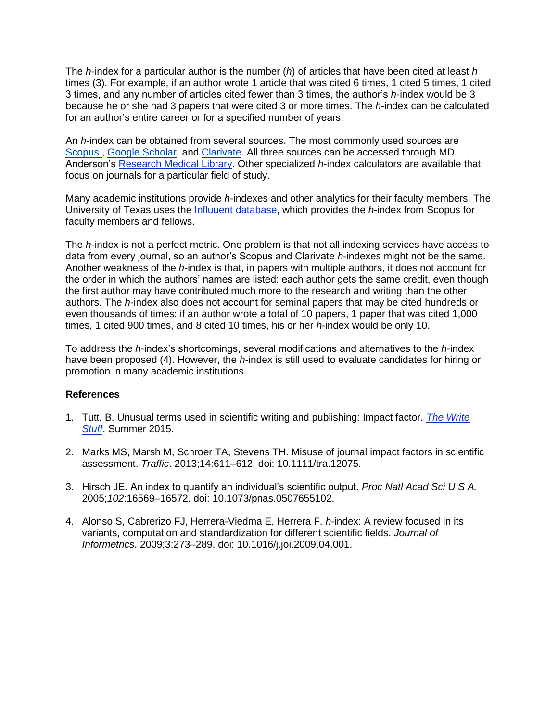The *h*-index for a particular author is the number (*h*) of articles that have been cited at least *h* times (3). For example, if an author wrote 1 article that was cited 6 times, 1 cited 5 times, 1 cited 3 times, and any number of articles cited fewer than 3 times, the author's *h*-index would be 3 because he or she had 3 papers that were cited 3 or more times. The *h*-index can be calculated for an author's entire career or for a specified number of years.

An *h*-index can be obtained from several sources. The most commonly used sources are [Scopus](https://www.scopus.com/freelookup/form/author.uri) , [Google Scholar,](https://scholar.google.com/schhp?hl=en) and [Clarivate.](https://clarivate.com/blog/the-new-citation-report-in-web-of-science/) All three sources can be accessed through MD Anderson's [Research Medical Library.](http://mdanderson.libanswers.com/faq/26221) Other specialized *h*-index calculators are available that focus on journals for a particular field of study.

Many academic institutions provide *h*-indexes and other analytics for their faculty members. The University of Texas uses the [Influuent database,](https://mdanderson.influuent.utsystem.edu/) which provides the *h*-index from Scopus for faculty members and fellows.

The *h*-index is not a perfect metric. One problem is that not all indexing services have access to data from every journal, so an author's Scopus and Clarivate *h*-indexes might not be the same. Another weakness of the *h*-index is that, in papers with multiple authors, it does not account for the order in which the authors' names are listed: each author gets the same credit, even though the first author may have contributed much more to the research and writing than the other authors. The *h*-index also does not account for seminal papers that may be cited hundreds or even thousands of times: if an author wrote a total of 10 papers, 1 paper that was cited 1,000 times, 1 cited 900 times, and 8 cited 10 times, his or her *h*-index would be only 10.

To address the *h*-index's shortcomings, several modifications and alternatives to the *h*-index have been proposed (4). However, the *h*-index is still used to evaluate candidates for hiring or promotion in many academic institutions.

## **References**

- 1. Tutt, B. Unusual terms used in scientific writing and publishing: Impact factor. *[The Write](http://inside.mdanderson.org/departments/scipub/2015---summer-issue-vol-12-no-3-.pdf)  [Stuff](http://inside.mdanderson.org/departments/scipub/2015---summer-issue-vol-12-no-3-.pdf)*. Summer 2015.
- 2. Marks MS, Marsh M, Schroer TA, Stevens TH. Misuse of journal impact factors in scientific assessment. *Traffic*. 2013;14:611–612. doi: 10.1111/tra.12075.
- 3. Hirsch JE. An index to quantify an individual's scientific output. *Proc Natl Acad Sci U S A.*  2005;*102*:16569–16572. doi: 10.1073/pnas.0507655102.
- 4. Alonso S, Cabrerizo FJ, Herrera-Viedma E, Herrera F. *h*-index: A review focused in its variants, computation and standardization for different scientific fields. *Journal of Informetrics*. 2009;3:273–289. doi: 10.1016/j.joi.2009.04.001.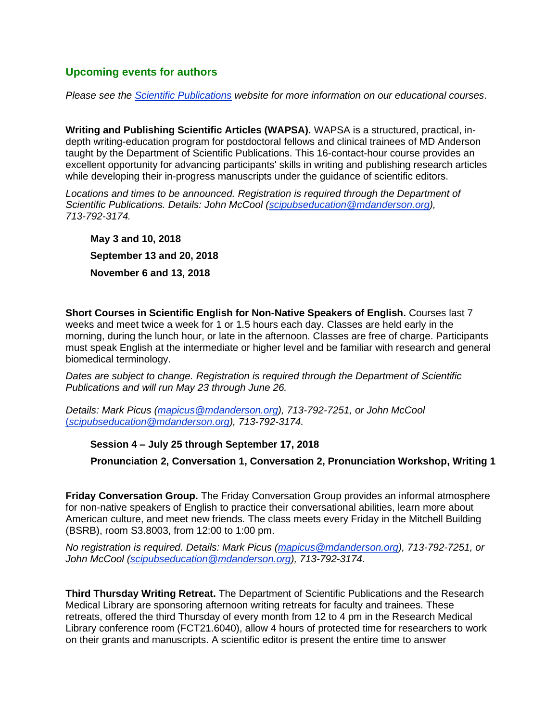# **Upcoming events for authors**

*Please see the [Scientific Publications](http://inside.mdanderson.org/departments/scipub/index.html) website for more information on our educational courses*.

**Writing and Publishing Scientific Articles (WAPSA).** WAPSA is a structured, practical, indepth writing-education program for postdoctoral fellows and clinical trainees of MD Anderson taught by the Department of Scientific Publications. This 16-contact-hour course provides an excellent opportunity for advancing participants' skills in writing and publishing research articles while developing their in-progress manuscripts under the guidance of scientific editors.

*Locations and times to be announced. Registration is required through the Department of Scientific Publications. Details: John McCool (scipubseducation@mdanderson.org), 713-792-3174.*

**May 3 and 10, 2018 September 13 and 20, 2018 November 6 and 13, 2018**

**Short Courses in Scientific English for Non-Native Speakers of English.** Courses last 7 weeks and meet twice a week for 1 or 1.5 hours each day. Classes are held early in the morning, during the lunch hour, or late in the afternoon. Classes are free of charge. Participants must speak English at the intermediate or higher level and be familiar with research and general biomedical terminology.

*Dates are subject to change. Registration is required through the Department of Scientific Publications and will run May 23 through June 26.*

*Details: Mark Picus (mapicus@mdanderson.org), 713-792-7251, or John McCool*  (*scipubseducation@mdanderson.org), 713-792-3174.*

# **Session 4 – July 25 through September 17, 2018**

**Pronunciation 2, Conversation 1, Conversation 2, Pronunciation Workshop, Writing 1**

**Friday Conversation Group.** The Friday Conversation Group provides an informal atmosphere for non-native speakers of English to practice their conversational abilities, learn more about American culture, and meet new friends. The class meets every Friday in the Mitchell Building (BSRB), room S3.8003, from 12:00 to 1:00 pm.

*No registration is required. Details: Mark Picus (mapicus@mdanderson.org), 713-792-7251, or John McCool (scipubseducation@mdanderson.org), 713-792-3174.*

**Third Thursday Writing Retreat.** The Department of Scientific Publications and the Research Medical Library are sponsoring afternoon writing retreats for faculty and trainees. These retreats, offered the third Thursday of every month from 12 to 4 pm in the Research Medical Library conference room (FCT21.6040), allow 4 hours of protected time for researchers to work on their grants and manuscripts. A scientific editor is present the entire time to answer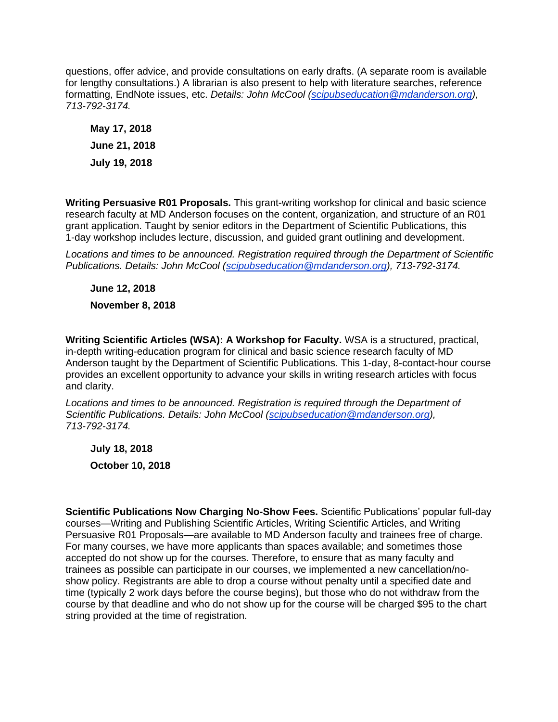questions, offer advice, and provide consultations on early drafts. (A separate room is available for lengthy consultations.) A librarian is also present to help with literature searches, reference formatting, EndNote issues, etc. *Details: John McCool (scipubseducation@mdanderson.org), 713-792-3174.*

**May 17, 2018 June 21, 2018 July 19, 2018**

**Writing Persuasive R01 Proposals.** This grant-writing workshop for clinical and basic science research faculty at MD Anderson focuses on the content, organization, and structure of an R01 grant application. Taught by senior editors in the Department of Scientific Publications, this 1-day workshop includes lecture, discussion, and guided grant outlining and development.

*Locations and times to be announced. Registration required through the Department of Scientific Publications. Details: John McCool [\(scipubseducation@mdanderson.org\)](mailto:scipubseducation@mdanderson.org), 713-792-3174.*

**June 12, 2018**

**November 8, 2018**

**Writing Scientific Articles (WSA): A Workshop for Faculty.** WSA is a structured, practical, in-depth writing-education program for clinical and basic science research faculty of MD Anderson taught by the Department of Scientific Publications. This 1-day, 8-contact-hour course provides an excellent opportunity to advance your skills in writing research articles with focus and clarity.

Locations and times to be announced. Registration is required through the Department of *Scientific Publications. Details: John McCool (scipubseducation@mdanderson.org), 713-792-3174.*

**July 18, 2018 October 10, 2018**

**Scientific Publications Now Charging No-Show Fees.** Scientific Publications' popular full-day courses—Writing and Publishing Scientific Articles, Writing Scientific Articles, and Writing Persuasive R01 Proposals—are available to MD Anderson faculty and trainees free of charge. For many courses, we have more applicants than spaces available; and sometimes those accepted do not show up for the courses. Therefore, to ensure that as many faculty and trainees as possible can participate in our courses, we implemented a new cancellation/noshow policy. Registrants are able to drop a course without penalty until a specified date and time (typically 2 work days before the course begins), but those who do not withdraw from the course by that deadline and who do not show up for the course will be charged \$95 to the chart string provided at the time of registration.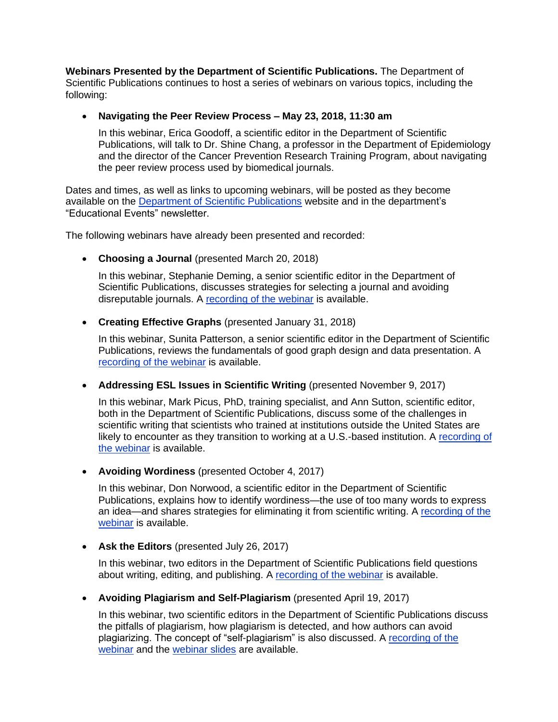**Webinars Presented by the Department of Scientific Publications.** The Department of Scientific Publications continues to host a series of webinars on various topics, including the following:

• **Navigating the Peer Review Process – May 23, 2018, 11:30 am**

In this webinar, Erica Goodoff, a scientific editor in the Department of Scientific Publications, will talk to Dr. Shine Chang, a professor in the Department of Epidemiology and the director of the Cancer Prevention Research Training Program, about navigating the peer review process used by biomedical journals.

Dates and times, as well as links to upcoming webinars, will be posted as they become available on the [Department of Scientific Publications](http://inside.mdanderson.org/departments/scipub/index.html) website and in the department's "Educational Events" newsletter.

The following webinars have already been presented and recorded:

• **Choosing a Journal** (presented March 20, 2018)

In this webinar, Stephanie Deming, a senior scientific editor in the Department of Scientific Publications, discusses strategies for selecting a journal and avoiding disreputable journals. A [recording](http://mdandersonlib.adobeconnect.com/choosing_journal/) of the webinar is available.

• **Creating Effective Graphs** (presented January 31, 2018)

In this webinar, Sunita Patterson, a senior scientific editor in the Department of Scientific Publications, reviews the fundamentals of good graph design and data presentation. A recording [of the webinar](http://mdandersonlib.adobeconnect.com/effective_graphs/) is available.

• **Addressing ESL Issues in Scientific Writing** (presented November 9, 2017)

In this webinar, Mark Picus, PhD, training specialist, and Ann Sutton, scientific editor, both in the Department of Scientific Publications, discuss some of the challenges in scientific writing that scientists who trained at institutions outside the United States are likely to encounter as they transition to working at a U.S.-based institution. A [recording of](https://mdandersonlib.adobeconnect.com/_a1004749038/addressing_esl_issues)  [the webinar](https://mdandersonlib.adobeconnect.com/_a1004749038/addressing_esl_issues) is available.

• **Avoiding Wordiness** (presented October 4, 2017)

In this webinar, Don Norwood, a scientific editor in the Department of Scientific Publications, explains how to identify wordiness—the use of too many words to express an idea—and shares strategies for eliminating it from scientific writing. A [recording](http://mdandersonlib.adobeconnect.com/avoiding_wordiness_webinar/) of the [webinar](http://mdandersonlib.adobeconnect.com/avoiding_wordiness_webinar/) is available.

• **Ask the Editors** (presented July 26, 2017)

In this webinar, two editors in the Department of Scientific Publications field questions about writing, editing, and publishing. A [recording](https://mdandersonwebinars.adobeconnect.com/_a1109931968/ask_the_editors/) of the webinar is available.

• **Avoiding Plagiarism and Self-Plagiarism** (presented April 19, 2017)

In this webinar, two scientific editors in the Department of Scientific Publications discuss the pitfalls of plagiarism, how plagiarism is detected, and how authors can avoid plagiarizing. The concept of "self-plagiarism" is also discussed. A [recording of the](https://mdandersonwebinars.adobeconnect.com/_a1109931968/p4p577evrnb/?launcher=false&fcsContent=true&pbMode=normal)  [webinar](https://mdandersonwebinars.adobeconnect.com/_a1109931968/p4p577evrnb/?launcher=false&fcsContent=true&pbMode=normal) and the [webinar slides](http://inside.mdanderson.org/departments/scipub/avoiding-plagiarism-and-self-plagiarism.pdf) are available.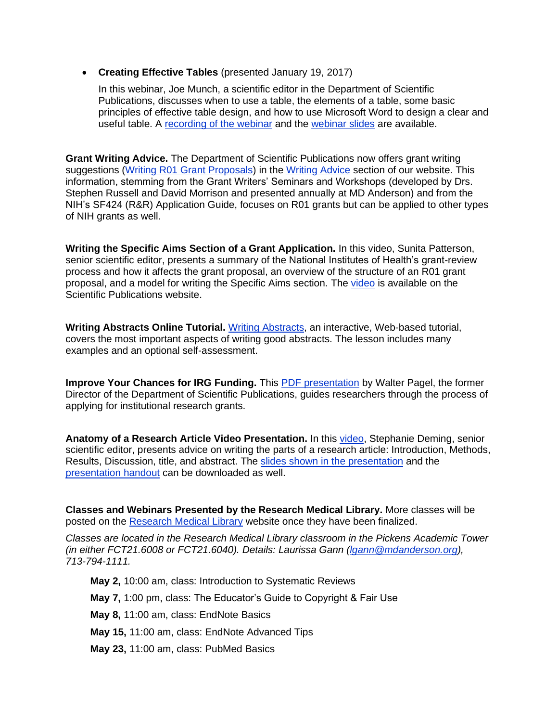• **Creating Effective Tables** (presented January 19, 2017)

In this webinar, Joe Munch, a scientific editor in the Department of Scientific Publications, discusses when to use a table, the elements of a table, some basic principles of effective table design, and how to use Microsoft Word to design a clear and useful table. A [recording of the webinar](https://mdandersonwebinars.adobeconnect.com/_a1109931968/p9lbcjhyr8s/?launcher=false&fcsContent=true&pbMode=normal) and the [webinar slides](http://inside.mdanderson.org/departments/scipub/creating-effective-tables.pdf) are available.

**Grant Writing Advice.** The Department of Scientific Publications now offers grant writing suggestions [\(Writing R01 Grant Proposals\)](http://inside.mdanderson.org/departments/scipub/writing-r01-grant-proposals.html) in the [Writing Advice](http://inside.mdanderson.org/departments/scipub/writing-advice.html) section of our website. This information, stemming from the Grant Writers' Seminars and Workshops (developed by Drs. Stephen Russell and David Morrison and presented annually at MD Anderson) and from the NIH's SF424 (R&R) Application Guide, focuses on R01 grants but can be applied to other types of NIH grants as well.

**Writing the Specific Aims Section of a Grant Application.** In this video, Sunita Patterson, senior scientific editor, presents a summary of the National Institutes of Health's grant-review process and how it affects the grant proposal, an overview of the structure of an R01 grant proposal, and a model for writing the Specific Aims section. The [video](http://inside3.mdanderson.org/streams/FullVideoPlayer.cfm?mediaID=AE990E55-B87E-47E8-8D76-9D195834AE53) is available on the Scientific Publications website.

**Writing Abstracts Online Tutorial.** Writing [Abstracts,](http://inside.mdanderson.org/resources/static/departments/scientific-publications/abstracts-lesson/) an interactive, Web-based tutorial, covers the most important aspects of writing good abstracts. The lesson includes many examples and an optional self-assessment.

**Improve Your Chances for IRG Funding.** This **PDF** presentation by Walter Pagel, the former Director of the Department of Scientific Publications, guides researchers through the process of applying for institutional research grants.

**Anatomy of a Research Article Video Presentation.** In this [video,](http://inside3.mdanderson.org/streams/FullVideoPlayer.cfm?xml=cfg%2FResearch-Article-Anatomy-2012) Stephanie Deming, senior scientific editor, presents advice on writing the parts of a research article: Introduction, Methods, Results, Discussion, title, and abstract. The [slides shown in the presentation](http://inside.mdanderson.org/departments/scipub/anatomy-of-a-research-article-writing-week-2012-handout.pdf) and the [presentation handout](http://inside.mdanderson.org/departments/scipub/methods-section-handout.pdf) can be downloaded as well.

**Classes and Webinars Presented by the Research Medical Library.** More classes will be posted on the [Research Medical Library](http://www3.mdanderson.org/library/) website once they have been finalized.

*Classes are located in the Research Medical Library classroom in the Pickens Academic Tower (in either FCT21.6008 or FCT21.6040). Details: Laurissa Gann (lgann@mdanderson.org), 713-794-1111.*

**May 2,** 10:00 am, class: Introduction to Systematic Reviews

**May 7,** 1:00 pm, class: The Educator's Guide to Copyright & Fair Use

**May 8,** 11:00 am, class: EndNote Basics

**May 15,** 11:00 am, class: EndNote Advanced Tips

**May 23,** 11:00 am, class: PubMed Basics